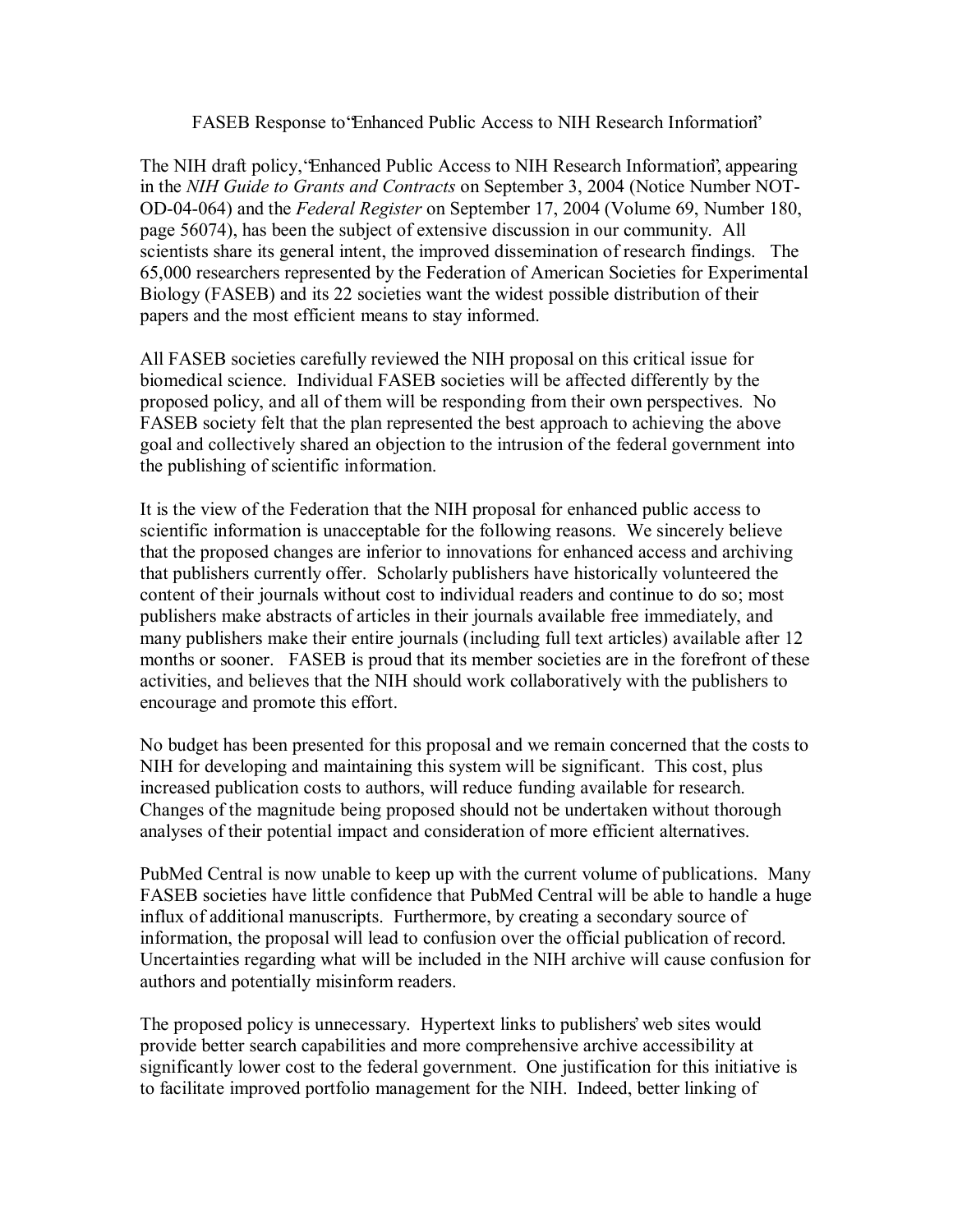## FASEB Response to 'Enhanced Public Access to NIH Research Information'

The NIH draft policy, 'Enhanced Public Access to NIH Research Information', appearing in the *NIH Guide to Grants and Contracts* on September 3, 2004 (Notice Number NOT-OD-04-064) and the *Federal Register* on September 17, 2004 (Volume 69, Number 180, page 56074), has been the subject of extensive discussion in our community. All scientists share its general intent, the improved dissemination of research findings. The 65,000 researchers represented by the Federation of American Societies for Experimental Biology (FASEB) and its 22 societies want the widest possible distribution of their papers and the most efficient means to stay informed.

All FASEB societies carefully reviewed the NIH proposal on this critical issue for biomedical science. Individual FASEB societies will be affected differently by the proposed policy, and all of them will be responding from their own perspectives. No FASEB society felt that the plan represented the best approach to achieving the above goal and collectively shared an objection to the intrusion of the federal government into the publishing of scientific information.

It is the view of the Federation that the NIH proposal for enhanced public access to scientific information is unacceptable for the following reasons. We sincerely believe that the proposed changes are inferior to innovations for enhanced access and archiving that publishers currently offer. Scholarly publishers have historically volunteered the content of their journals without cost to individual readers and continue to do so; most publishers make abstracts of articles in their journals available free immediately, and many publishers make their entire journals (including full text articles) available after 12 months or sooner. FASEB is proud that its member societies are in the forefront of these activities, and believes that the NIH should work collaboratively with the publishers to encourage and promote this effort.

No budget has been presented for this proposal and we remain concerned that the costs to NIH for developing and maintaining this system will be significant. This cost, plus increased publication costs to authors, will reduce funding available for research. Changes of the magnitude being proposed should not be undertaken without thorough analyses of their potential impact and consideration of more efficient alternatives.

PubMed Central is now unable to keep up with the current volume of publications. Many FASEB societies have little confidence that PubMed Central will be able to handle a huge influx of additional manuscripts. Furthermore, by creating a secondary source of information, the proposal will lead to confusion over the official publication of record. Uncertainties regarding what will be included in the NIH archive will cause confusion for authors and potentially misinform readers.

The proposed policy is unnecessary. Hypertext links to publishers' web sites would provide better search capabilities and more comprehensive archive accessibility at significantly lower cost to the federal government. One justification for this initiative is to facilitate improved portfolio management for the NIH. Indeed, better linking of